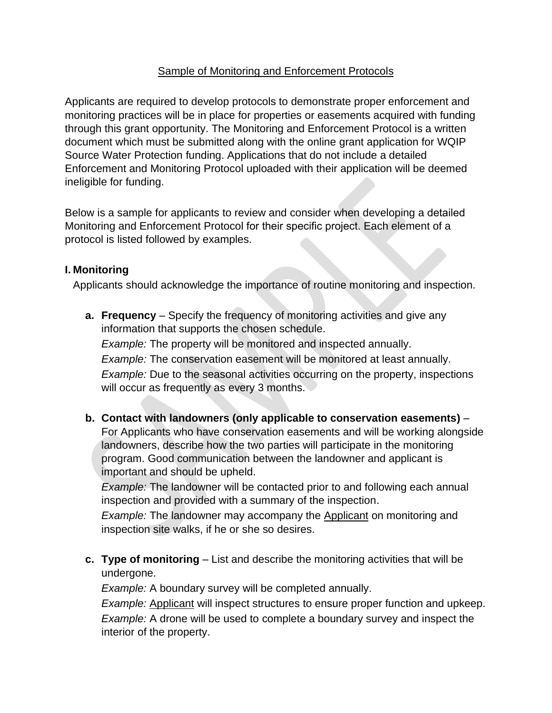## Sample of Monitoring and Enforcement Protocols

Applicants are required to develop protocols to demonstrate proper enforcement and monitoring practices will be in place for properties or easements acquired with funding through this grant opportunity. The Monitoring and Enforcement Protocol is a written document which must be submitted along with the online grant application for WQIP Source Water Protection funding. Applications that do not include a detailed Enforcement and Monitoring Protocol uploaded with their application will be deemed ineligible for funding.

Below is a sample for applicants to review and consider when developing a detailed Monitoring and Enforcement Protocol for their specific project. Each element of a protocol is listed followed by examples.

## **I. Monitoring**

Applicants should acknowledge the importance of routine monitoring and inspection.

**a. Frequency** – Specify the frequency of monitoring activities and give any information that supports the chosen schedule.

*Example:* The property will be monitored and inspected annually.

*Example:* The conservation easement will be monitored at least annually. *Example:* Due to the seasonal activities occurring on the property, inspections will occur as frequently as every 3 months.

**b. Contact with landowners (only applicable to conservation easements)** – For Applicants who have conservation easements and will be working alongside landowners, describe how the two parties will participate in the monitoring program. Good communication between the landowner and applicant is important and should be upheld.

*Example:* The landowner will be contacted prior to and following each annual inspection and provided with a summary of the inspection.

*Example:* The landowner may accompany the Applicant on monitoring and inspection site walks, if he or she so desires.

**c. Type of monitoring** – List and describe the monitoring activities that will be undergone.

*Example:* A boundary survey will be completed annually.

*Example:* Applicant will inspect structures to ensure proper function and upkeep. *Example:* A drone will be used to complete a boundary survey and inspect the interior of the property.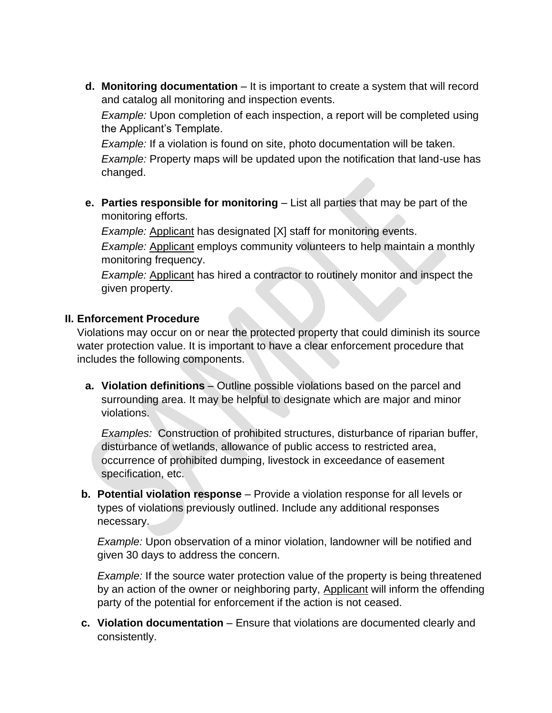**d. Monitoring documentation** – It is important to create a system that will record and catalog all monitoring and inspection events.

*Example:* Upon completion of each inspection, a report will be completed using the Applicant's Template.

*Example:* If a violation is found on site, photo documentation will be taken.

*Example:* Property maps will be updated upon the notification that land-use has changed.

**e. Parties responsible for monitoring** – List all parties that may be part of the monitoring efforts.

*Example:* Applicant has designated [X] staff for monitoring events.

*Example:* Applicant employs community volunteers to help maintain a monthly monitoring frequency.

*Example:* Applicant has hired a contractor to routinely monitor and inspect the given property.

## **II. Enforcement Procedure**

Violations may occur on or near the protected property that could diminish its source water protection value. It is important to have a clear enforcement procedure that includes the following components.

**a. Violation definitions** – Outline possible violations based on the parcel and surrounding area. It may be helpful to designate which are major and minor violations.

*Examples:* Construction of prohibited structures, disturbance of riparian buffer, disturbance of wetlands, allowance of public access to restricted area, occurrence of prohibited dumping, livestock in exceedance of easement specification, etc.

**b. Potential violation response** – Provide a violation response for all levels or types of violations previously outlined. Include any additional responses necessary.

*Example:* Upon observation of a minor violation, landowner will be notified and given 30 days to address the concern.

*Example:* If the source water protection value of the property is being threatened by an action of the owner or neighboring party, Applicant will inform the offending party of the potential for enforcement if the action is not ceased.

**c. Violation documentation** – Ensure that violations are documented clearly and consistently.